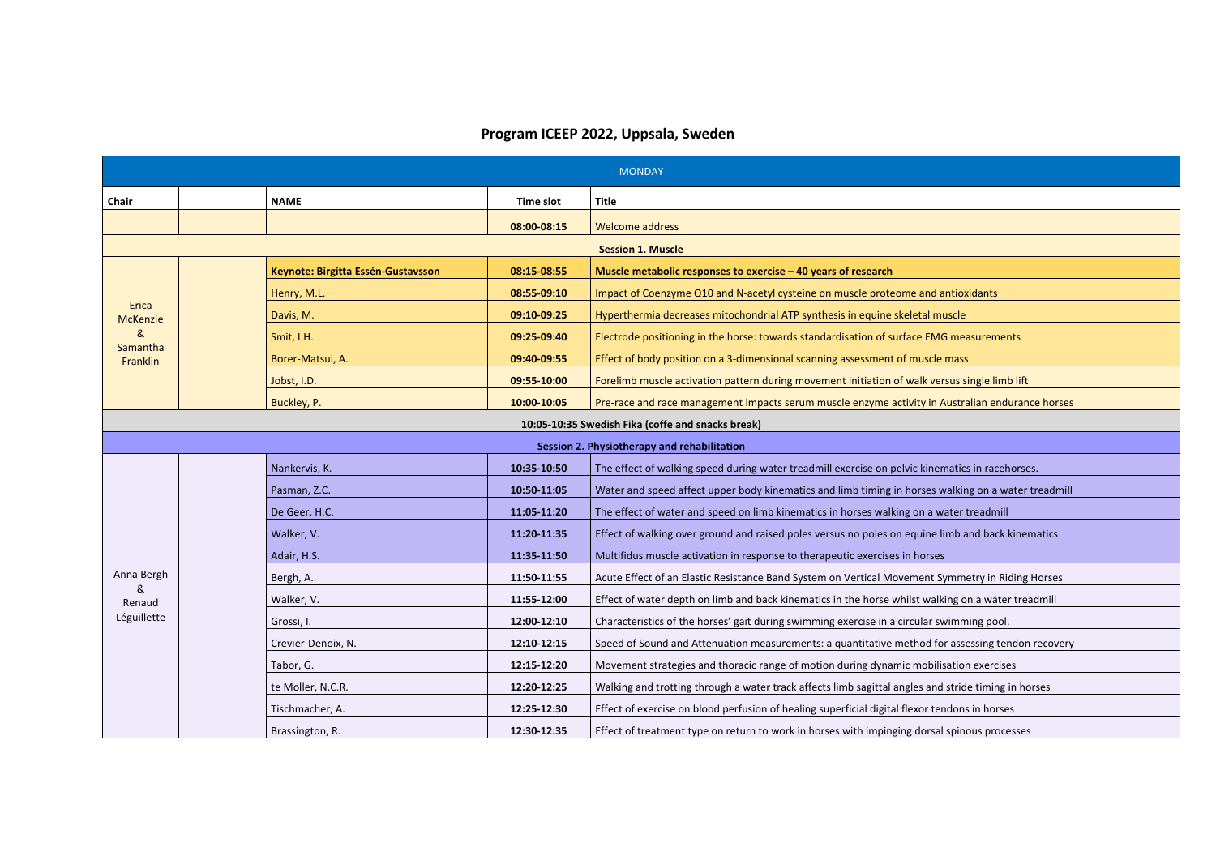## **Program ICEEP 2022, Uppsala, Sweden**

|                                                   | <b>MONDAY</b> |                                    |             |                                                                                                     |  |  |
|---------------------------------------------------|---------------|------------------------------------|-------------|-----------------------------------------------------------------------------------------------------|--|--|
| Chair                                             |               | <b>NAME</b>                        | Time slot   | <b>Title</b>                                                                                        |  |  |
|                                                   |               |                                    | 08:00-08:15 | <b>Welcome address</b>                                                                              |  |  |
|                                                   |               |                                    |             | <b>Session 1. Muscle</b>                                                                            |  |  |
|                                                   |               | Keynote: Birgitta Essén-Gustavsson | 08:15 08:55 | Muscle metabolic responses to exercise - 40 years of research                                       |  |  |
|                                                   |               | Henry, M.L.                        | 08:55-09:10 | Impact of Coenzyme Q10 and N-acetyl cysteine on muscle proteome and antioxidants                    |  |  |
| Erica<br><b>McKenzie</b>                          |               | Davis, M.                          | 09:10 09:25 | Hyperthermia decreases mitochondrial ATP synthesis in equine skeletal muscle                        |  |  |
| 8 <sub>k</sub>                                    |               | Smit, I.H.                         | 09:25-09:40 | Electrode positioning in the horse: towards standardisation of surface EMG measurements             |  |  |
| Samantha<br>Franklin                              |               | Borer-Matsui, A.                   | 09:40-09:55 | Effect of body position on a 3-dimensional scanning assessment of muscle mass                       |  |  |
|                                                   |               | Jobst, I.D.                        | 09:55-10:00 | Forelimb muscle activation pattern during movement initiation of walk versus single limb lift       |  |  |
|                                                   |               | Buckley, P.                        | 10:00-10:05 | Pre-race and race management impacts serum muscle enzyme activity in Australian endurance horses    |  |  |
| 10:05-10:35 Swedish Fika (coffe and snacks break) |               |                                    |             |                                                                                                     |  |  |
|                                                   |               |                                    |             | Session 2. Physiotherapy and rehabilitation                                                         |  |  |
|                                                   |               | Nankervis, K.                      | 10:35-10:50 | The effect of walking speed during water treadmill exercise on pelvic kinematics in racehorses.     |  |  |
|                                                   |               | Pasman, Z.C.                       | 10:50-11:05 | Water and speed affect upper body kinematics and limb timing in horses walking on a water treadmill |  |  |
|                                                   |               | De Geer, H.C.                      | 11:05-11:20 | The effect of water and speed on limb kinematics in horses walking on a water treadmill             |  |  |
|                                                   |               | Walker, V.                         | 11:20-11:35 | Effect of walking over ground and raised poles versus no poles on equine limb and back kinematics   |  |  |
|                                                   |               | Adair, H.S.                        | 11:35-11:50 | Multifidus muscle activation in response to therapeutic exercises in horses                         |  |  |
| Anna Bergh                                        |               | Bergh, A.                          | 11:50 11:55 | Acute Effect of an Elastic Resistance Band System on Vertical Movement Symmetry in Riding Horses    |  |  |
| &<br>Renaud                                       |               | Walker, V.                         | 11:55-12:00 | Effect of water depth on limb and back kinematics in the horse whilst walking on a water treadmill  |  |  |
| Léguillette                                       |               | Grossi, I.                         | 12:00-12:10 | Characteristics of the horses' gait during swimming exercise in a circular swimming pool.           |  |  |
|                                                   |               | Crevier-Denoix, N.                 | 12:10-12:15 | Speed of Sound and Attenuation measurements: a quantitative method for assessing tendon recovery    |  |  |
|                                                   |               | Tabor, G.                          | 12:15-12:20 | Movement strategies and thoracic range of motion during dynamic mobilisation exercises              |  |  |
|                                                   |               | te Moller, N.C.R.                  | 12:20-12:25 | Walking and trotting through a water track affects limb sagittal angles and stride timing in horses |  |  |
|                                                   |               | Tischmacher, A.                    | 12:25-12:30 | Effect of exercise on blood perfusion of healing superficial digital flexor tendons in horses       |  |  |
|                                                   |               | Brassington, R.                    | 12:30-12:35 | Effect of treatment type on return to work in horses with impinging dorsal spinous processes        |  |  |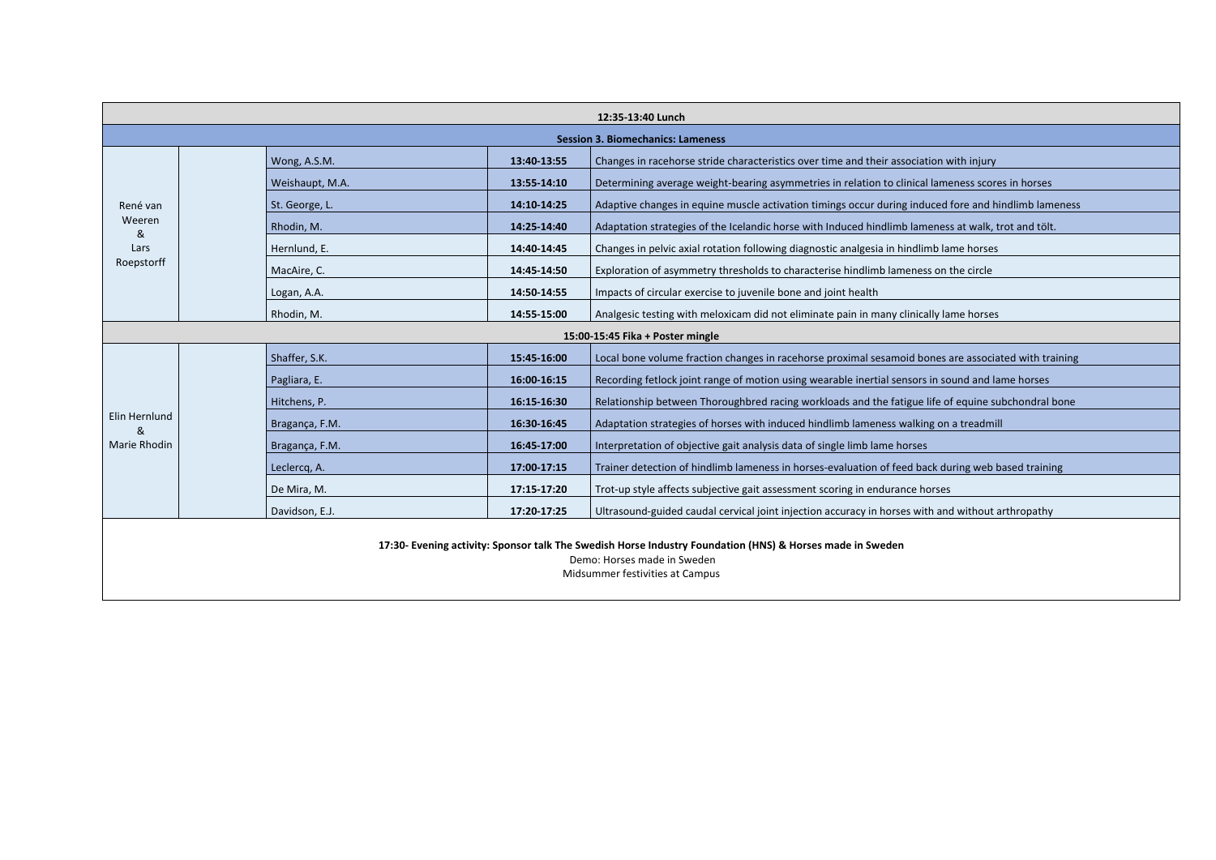|                                                                                                                                                                             | 12:35-13:40 Lunch                        |                 |             |                                                                                                      |  |  |
|-----------------------------------------------------------------------------------------------------------------------------------------------------------------------------|------------------------------------------|-----------------|-------------|------------------------------------------------------------------------------------------------------|--|--|
|                                                                                                                                                                             | <b>Session 3. Biomechanics: Lameness</b> |                 |             |                                                                                                      |  |  |
|                                                                                                                                                                             |                                          | Wong, A.S.M.    | 13:40-13:55 | Changes in racehorse stride characteristics over time and their association with injury              |  |  |
|                                                                                                                                                                             |                                          | Weishaupt, M.A. | 13:55-14:10 | Determining average weight-bearing asymmetries in relation to clinical lameness scores in horses     |  |  |
| René van                                                                                                                                                                    |                                          | St. George, L.  | 14:10-14:25 | Adaptive changes in equine muscle activation timings occur during induced fore and hindlimb lameness |  |  |
| Weeren<br>&                                                                                                                                                                 |                                          | Rhodin, M.      | 14:25-14:40 | Adaptation strategies of the Icelandic horse with Induced hindlimb lameness at walk, trot and tölt.  |  |  |
| Lars                                                                                                                                                                        |                                          | Hernlund, E.    | 14:40-14:45 | Changes in pelvic axial rotation following diagnostic analgesia in hindlimb lame horses              |  |  |
| Roepstorff                                                                                                                                                                  |                                          | MacAire, C.     | 14:45-14:50 | Exploration of asymmetry thresholds to characterise hindlimb lameness on the circle                  |  |  |
|                                                                                                                                                                             |                                          | Logan, A.A.     | 14:50-14:55 | Impacts of circular exercise to juvenile bone and joint health                                       |  |  |
|                                                                                                                                                                             |                                          | Rhodin, M.      | 14:55-15:00 | Analgesic testing with meloxicam did not eliminate pain in many clinically lame horses               |  |  |
|                                                                                                                                                                             |                                          |                 |             | 15:00-15:45 Fika + Poster mingle                                                                     |  |  |
|                                                                                                                                                                             |                                          | Shaffer, S.K.   | 15:45-16:00 | Local bone volume fraction changes in racehorse proximal sesamoid bones are associated with training |  |  |
|                                                                                                                                                                             |                                          | Pagliara, E.    | 16:00-16:15 | Recording fetlock joint range of motion using wearable inertial sensors in sound and lame horses     |  |  |
|                                                                                                                                                                             |                                          | Hitchens, P.    | 16:15-16:30 | Relationship between Thoroughbred racing workloads and the fatigue life of equine subchondral bone   |  |  |
| Elin Hernlund<br>&                                                                                                                                                          |                                          | Bragança, F.M.  | 16:30-16:45 | Adaptation strategies of horses with induced hindlimb lameness walking on a treadmill                |  |  |
| <b>Marie Rhodin</b>                                                                                                                                                         |                                          | Bragança, F.M.  | 16:45-17:00 | Interpretation of objective gait analysis data of single limb lame horses                            |  |  |
|                                                                                                                                                                             |                                          | Leclercq, A.    | 17:00-17:15 | Trainer detection of hindlimb lameness in horses-evaluation of feed back during web based training   |  |  |
|                                                                                                                                                                             |                                          | De Mira, M.     | 17:15 17:20 | Trot-up style affects subjective gait assessment scoring in endurance horses                         |  |  |
|                                                                                                                                                                             |                                          | Davidson, E.J.  | 17:20-17:25 | Ultrasound-guided caudal cervical joint injection accuracy in horses with and without arthropathy    |  |  |
| 17:30- Evening activity: Sponsor talk The Swedish Horse Industry Foundation (HNS) & Horses made in Sweden<br>Demo: Horses made in Sweden<br>Midsummer festivities at Campus |                                          |                 |             |                                                                                                      |  |  |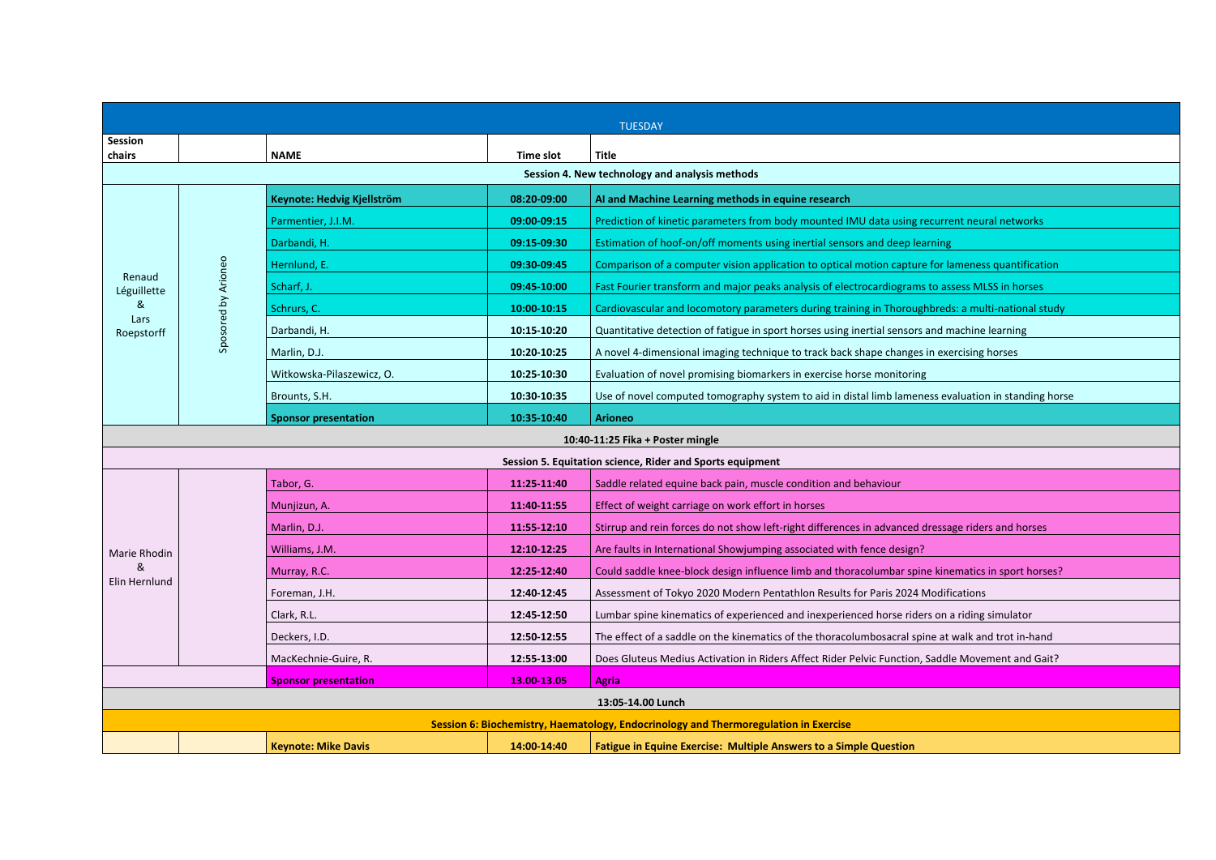|                                                            | <b>TUESDAY</b>                   |                             |             |                                                                                                     |  |  |
|------------------------------------------------------------|----------------------------------|-----------------------------|-------------|-----------------------------------------------------------------------------------------------------|--|--|
| Session<br>chairs                                          |                                  | <b>NAME</b>                 | Time slot   | <b>Title</b>                                                                                        |  |  |
|                                                            |                                  |                             |             | Session 4. New technology and analysis methods                                                      |  |  |
|                                                            |                                  | Keynote: Hedvig Kjellström  | 08:20-09:00 | AI and Machine Learning methods in equine research                                                  |  |  |
|                                                            |                                  | Parmentier, J.I.M.          | 09:00-09:15 | Prediction of kinetic parameters from body mounted IMU data using recurrent neural networks         |  |  |
|                                                            |                                  | Darbandi, H.                | 09:15 09:30 | Estimation of hoof-on/off moments using inertial sensors and deep learning                          |  |  |
|                                                            |                                  | Hernlund, E.                | 09:30-09:45 | Comparison of a computer vision application to optical motion capture for lameness quantification   |  |  |
| Renaud<br>Léguillette                                      |                                  | Scharf, J.                  | 09:45-10:00 | Fast Fourier transform and major peaks analysis of electrocardiograms to assess MLSS in horses      |  |  |
| &                                                          | Sposored by Arioneo              | Schrurs, C.                 | 10:00-10:15 | Cardiovascular and locomotory parameters during training in Thoroughbreds: a multi-national study   |  |  |
| Lars<br>Roepstorff                                         |                                  | Darbandi, H.                | 10:15 10:20 | Quantitative detection of fatigue in sport horses using inertial sensors and machine learning       |  |  |
|                                                            |                                  | Marlin, D.J.                | 10:20-10:25 | A novel 4-dimensional imaging technique to track back shape changes in exercising horses            |  |  |
|                                                            |                                  | Witkowska-Pilaszewicz, O.   | 10:25-10:30 | Evaluation of novel promising biomarkers in exercise horse monitoring                               |  |  |
|                                                            |                                  | Brounts, S.H.               | 10:30-10:35 | Use of novel computed tomography system to aid in distal limb lameness evaluation in standing horse |  |  |
|                                                            |                                  | <b>Sponsor presentation</b> | 10:35-10:40 | <b>Arioneo</b>                                                                                      |  |  |
|                                                            | 10:40-11:25 Fika + Poster mingle |                             |             |                                                                                                     |  |  |
| Session 5. Equitation science, Rider and Sports equipment  |                                  |                             |             |                                                                                                     |  |  |
|                                                            |                                  | Tabor, G.                   | 11:25-11:40 | Saddle related equine back pain, muscle condition and behaviour                                     |  |  |
|                                                            |                                  | Munjizun, A.                | 11:40-11:55 | Effect of weight carriage on work effort in horses                                                  |  |  |
|                                                            |                                  | Marlin, D.J.                | 11:55 12:10 | Stirrup and rein forces do not show left-right differences in advanced dressage riders and horses   |  |  |
| <b>Marie Rhodin</b>                                        |                                  | Williams, J.M.              | 12:10-12:25 | Are faults in International Showjumping associated with fence design?                               |  |  |
| &<br>Elin Hernlund                                         |                                  | Murray, R.C.                | 12:25-12:40 | Could saddle knee-block design influence limb and thoracolumbar spine kinematics in sport horses?   |  |  |
|                                                            |                                  | Foreman, J.H.               | 12:40-12:45 | Assessment of Tokyo 2020 Modern Pentathlon Results for Paris 2024 Modifications                     |  |  |
|                                                            |                                  | Clark, R.L.                 | 12:45-12:50 | Lumbar spine kinematics of experienced and inexperienced horse riders on a riding simulator         |  |  |
|                                                            |                                  | Deckers, I.D.               | 12:50-12:55 | The effect of a saddle on the kinematics of the thoracolumbosacral spine at walk and trot in-hand   |  |  |
|                                                            |                                  | MacKechnie-Guire, R.        | 12:55-13:00 | Does Gluteus Medius Activation in Riders Affect Rider Pelvic Function, Saddle Movement and Gait?    |  |  |
| 13.00-13.05<br><b>Agria</b><br><b>Sponsor presentation</b> |                                  |                             |             |                                                                                                     |  |  |
|                                                            |                                  |                             |             | 13:05-14.00 Lunch                                                                                   |  |  |
|                                                            |                                  |                             |             | Session 6: Biochemistry, Haematology, Endocrinology and Thermoregulation in Exercise                |  |  |
|                                                            |                                  | <b>Keynote: Mike Davis</b>  | 14:00-14:40 | Fatigue in Equine Exercise: Multiple Answers to a Simple Question                                   |  |  |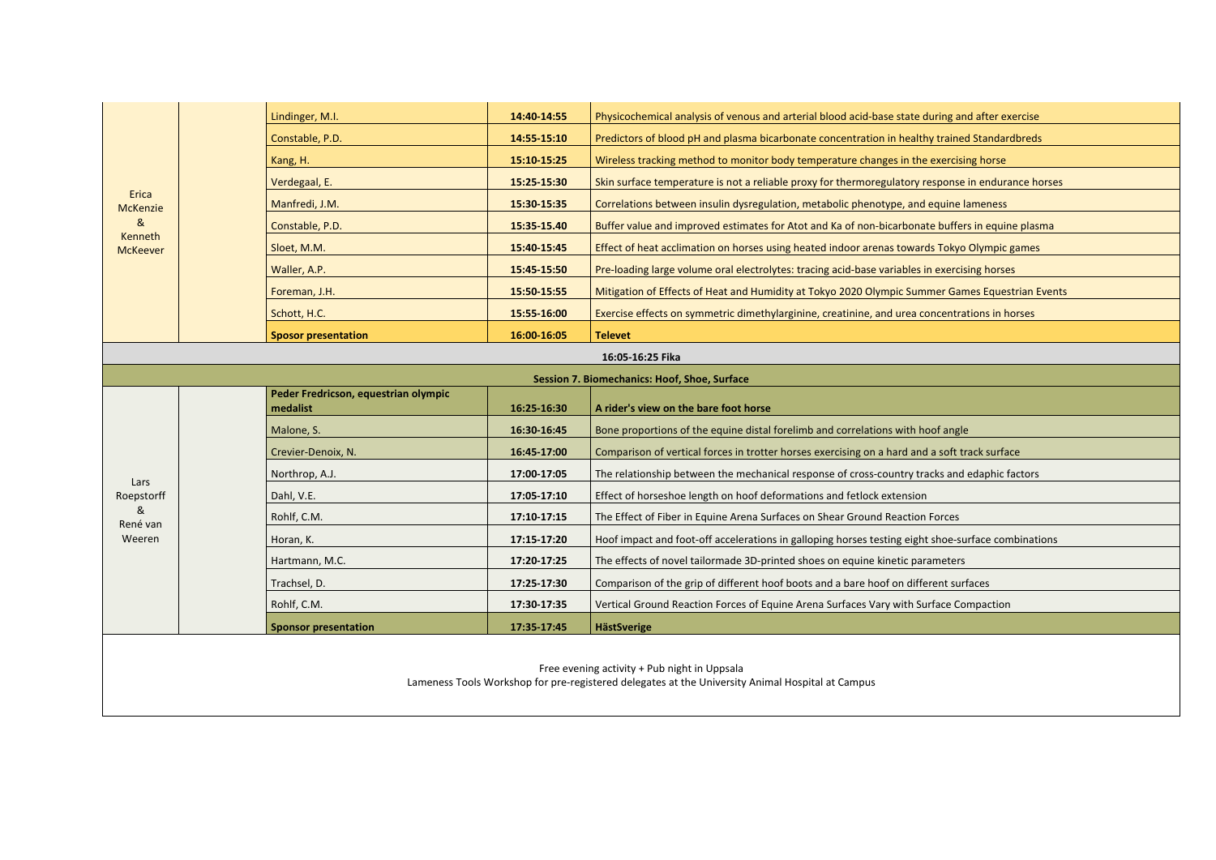|                                                                                                                                                  |  | Lindinger, M.I.                                  | 14:40-14:55 | Physicochemical analysis of venous and arterial blood acid-base state during and after exercise    |  |  |
|--------------------------------------------------------------------------------------------------------------------------------------------------|--|--------------------------------------------------|-------------|----------------------------------------------------------------------------------------------------|--|--|
|                                                                                                                                                  |  | Constable, P.D.                                  | 14:55 15:10 | Predictors of blood pH and plasma bicarbonate concentration in healthy trained Standardbreds       |  |  |
|                                                                                                                                                  |  | Kang, H.                                         | 15:10-15:25 | Wireless tracking method to monitor body temperature changes in the exercising horse               |  |  |
|                                                                                                                                                  |  | Verdegaal, E.                                    | 15:25-15:30 | Skin surface temperature is not a reliable proxy for thermoregulatory response in endurance horses |  |  |
| Erica<br><b>McKenzie</b>                                                                                                                         |  | Manfredi, J.M.                                   | 15:30 15:35 | Correlations between insulin dysregulation, metabolic phenotype, and equine lameness               |  |  |
| &                                                                                                                                                |  | Constable, P.D.                                  | 15:35-15.40 | Buffer value and improved estimates for Atot and Ka of non-bicarbonate buffers in equine plasma    |  |  |
| Kenneth<br><b>McKeever</b>                                                                                                                       |  | Sloet, M.M.                                      | 15:40 15:45 | Effect of heat acclimation on horses using heated indoor arenas towards Tokyo Olympic games        |  |  |
|                                                                                                                                                  |  | Waller, A.P.                                     | 15:45 15:50 | Pre-loading large volume oral electrolytes: tracing acid-base variables in exercising horses       |  |  |
|                                                                                                                                                  |  | Foreman, J.H.                                    | 15:50-15:55 | Mitigation of Effects of Heat and Humidity at Tokyo 2020 Olympic Summer Games Equestrian Events    |  |  |
|                                                                                                                                                  |  | Schott, H.C.                                     | 15:55-16:00 | Exercise effects on symmetric dimethylarginine, creatinine, and urea concentrations in horses      |  |  |
|                                                                                                                                                  |  | <b>Sposor presentation</b>                       | 16:00-16:05 | <b>Televet</b>                                                                                     |  |  |
| 16:05-16:25 Fika                                                                                                                                 |  |                                                  |             |                                                                                                    |  |  |
| Session 7. Biomechanics: Hoof, Shoe, Surface                                                                                                     |  |                                                  |             |                                                                                                    |  |  |
|                                                                                                                                                  |  | Peder Fredricson, equestrian olympic<br>medalist | 16:25-16:30 | A rider's view on the bare foot horse                                                              |  |  |
|                                                                                                                                                  |  | Malone, S.                                       | 16:30-16:45 | Bone proportions of the equine distal forelimb and correlations with hoof angle                    |  |  |
|                                                                                                                                                  |  | Crevier-Denoix, N.                               | 16:45-17:00 | Comparison of vertical forces in trotter horses exercising on a hard and a soft track surface      |  |  |
| Lars                                                                                                                                             |  | Northrop, A.J.                                   | 17:00-17:05 | The relationship between the mechanical response of cross-country tracks and edaphic factors       |  |  |
| Roepstorff                                                                                                                                       |  | Dahl, V.E.                                       | 17:05-17:10 | Effect of horseshoe length on hoof deformations and fetlock extension                              |  |  |
| &<br>René van                                                                                                                                    |  | Rohlf, C.M.                                      | 17:10-17:15 | The Effect of Fiber in Equine Arena Surfaces on Shear Ground Reaction Forces                       |  |  |
| Weeren                                                                                                                                           |  | Horan, K.                                        | 17:15 17:20 | Hoof impact and foot-off accelerations in galloping horses testing eight shoe-surface combinations |  |  |
|                                                                                                                                                  |  | Hartmann, M.C.                                   | 17:20-17:25 | The effects of novel tailormade 3D-printed shoes on equine kinetic parameters                      |  |  |
|                                                                                                                                                  |  | Trachsel, D.                                     | 17:25-17:30 | Comparison of the grip of different hoof boots and a bare hoof on different surfaces               |  |  |
|                                                                                                                                                  |  | Rohlf, C.M.                                      | 17:30-17:35 | Vertical Ground Reaction Forces of Equine Arena Surfaces Vary with Surface Compaction              |  |  |
|                                                                                                                                                  |  | <b>Sponsor presentation</b>                      | 17:35-17:45 | <b>HästSverige</b>                                                                                 |  |  |
| Free evening activity + Pub night in Uppsala<br>Lameness Tools Workshop for pre-registered delegates at the University Animal Hospital at Campus |  |                                                  |             |                                                                                                    |  |  |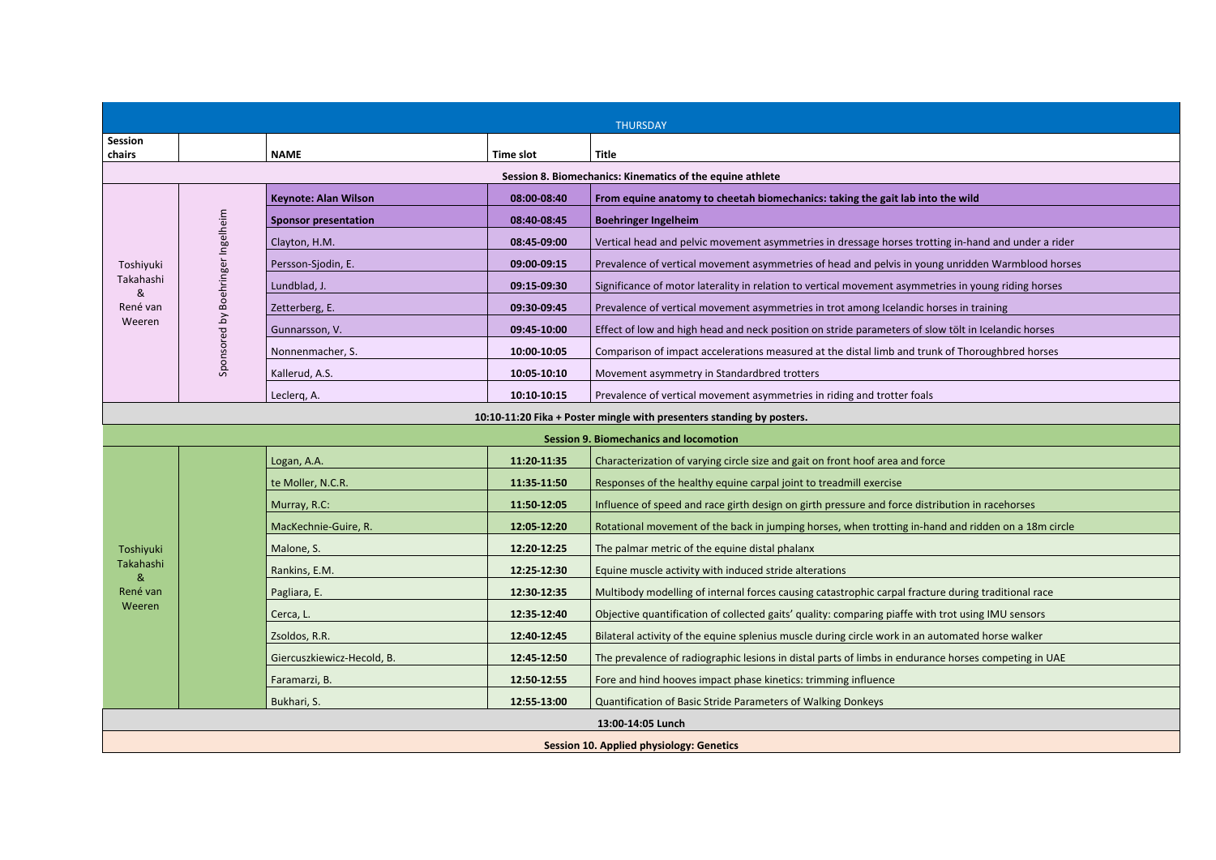|                                                                       | <b>THURSDAY</b>                                           |                             |             |                                                                                                      |  |  |
|-----------------------------------------------------------------------|-----------------------------------------------------------|-----------------------------|-------------|------------------------------------------------------------------------------------------------------|--|--|
| <b>Session</b>                                                        |                                                           |                             |             |                                                                                                      |  |  |
| chairs                                                                | <b>Title</b><br><b>NAME</b><br>Time slot                  |                             |             |                                                                                                      |  |  |
|                                                                       | Session 8. Biomechanics: Kinematics of the equine athlete |                             |             |                                                                                                      |  |  |
|                                                                       |                                                           | <b>Keynote: Alan Wilson</b> | 08:00-08:40 | From equine anatomy to cheetah biomechanics: taking the gait lab into the wild                       |  |  |
|                                                                       |                                                           | <b>Sponsor presentation</b> | 08:40-08:45 | <b>Boehringer Ingelheim</b>                                                                          |  |  |
|                                                                       | Sponsored by Boehringer Ingelheim                         | Clayton, H.M.               | 08:45-09:00 | Vertical head and pelvic movement asymmetries in dressage horses trotting in-hand and under a rider  |  |  |
| Toshiyuki                                                             |                                                           | Persson-Sjodin, E.          | 09:00-09:15 | Prevalence of vertical movement asymmetries of head and pelvis in young unridden Warmblood horses    |  |  |
| Takahashi<br>&                                                        |                                                           | Lundblad, J.                | 09:15-09:30 | Significance of motor laterality in relation to vertical movement asymmetries in young riding horses |  |  |
| René van                                                              |                                                           | Zetterberg, E.              | 09:30-09:45 | Prevalence of vertical movement asymmetries in trot among Icelandic horses in training               |  |  |
| Weeren                                                                |                                                           | Gunnarsson, V.              | 09:45 10:00 | Effect of low and high head and neck position on stride parameters of slow tölt in Icelandic horses  |  |  |
|                                                                       |                                                           | Nonnenmacher, S.            | 10:00-10:05 | Comparison of impact accelerations measured at the distal limb and trunk of Thoroughbred horses      |  |  |
|                                                                       |                                                           | Kallerud, A.S.              | 10:05-10:10 | Movement asymmetry in Standardbred trotters                                                          |  |  |
|                                                                       |                                                           | Leclerg, A.                 | 10:10 10:15 | Prevalence of vertical movement asymmetries in riding and trotter foals                              |  |  |
| 10:10-11:20 Fika + Poster mingle with presenters standing by posters. |                                                           |                             |             |                                                                                                      |  |  |
| <b>Session 9. Biomechanics and locomotion</b>                         |                                                           |                             |             |                                                                                                      |  |  |
|                                                                       |                                                           | Logan, A.A.                 | 11:20-11:35 | Characterization of varying circle size and gait on front hoof area and force                        |  |  |
|                                                                       |                                                           | te Moller, N.C.R.           | 11:35-11:50 | Responses of the healthy equine carpal joint to treadmill exercise                                   |  |  |
|                                                                       |                                                           | Murray, R.C:                | 11:50-12:05 | Influence of speed and race girth design on girth pressure and force distribution in racehorses      |  |  |
|                                                                       |                                                           | MacKechnie-Guire, R.        | 12:05-12:20 | Rotational movement of the back in jumping horses, when trotting in-hand and ridden on a 18m circle  |  |  |
| Toshiyuki                                                             |                                                           | Malone, S.                  | 12:20-12:25 | The palmar metric of the equine distal phalanx                                                       |  |  |
| Takahashi<br>&                                                        |                                                           | Rankins, E.M.               | 12:25-12:30 | Equine muscle activity with induced stride alterations                                               |  |  |
| René van                                                              |                                                           | Pagliara, E.                | 12:30-12:35 | Multibody modelling of internal forces causing catastrophic carpal fracture during traditional race  |  |  |
| Weeren                                                                |                                                           | Cerca, L.                   | 12:35-12:40 | Objective quantification of collected gaits' quality: comparing piaffe with trot using IMU sensors   |  |  |
|                                                                       |                                                           | Zsoldos, R.R.               | 12:40-12:45 | Bilateral activity of the equine splenius muscle during circle work in an automated horse walker     |  |  |
|                                                                       |                                                           | Giercuszkiewicz-Hecold, B.  | 12:45-12:50 | The prevalence of radiographic lesions in distal parts of limbs in endurance horses competing in UAE |  |  |
|                                                                       |                                                           | Faramarzi, B.               | 12:50-12:55 | Fore and hind hooves impact phase kinetics: trimming influence                                       |  |  |
|                                                                       |                                                           | Bukhari, S.                 | 12:55-13:00 | Quantification of Basic Stride Parameters of Walking Donkeys                                         |  |  |
|                                                                       | 13:00-14:05 Lunch                                         |                             |             |                                                                                                      |  |  |
|                                                                       | <b>Session 10. Applied physiology: Genetics</b>           |                             |             |                                                                                                      |  |  |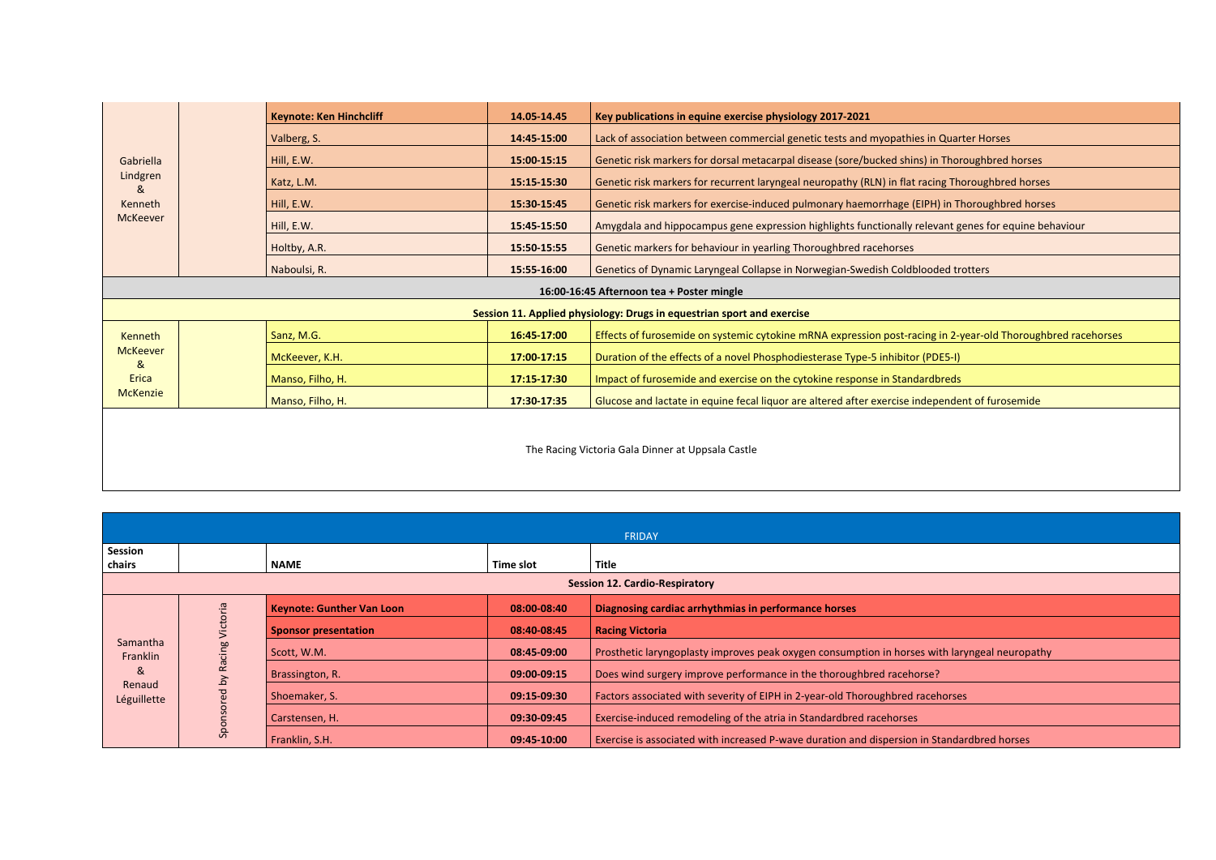|                                                   |                                                                        | <b>Keynote: Ken Hinchcliff</b> | 14.05 14.45 | Key publications in equine exercise physiology 2017-2021                                                     |  |
|---------------------------------------------------|------------------------------------------------------------------------|--------------------------------|-------------|--------------------------------------------------------------------------------------------------------------|--|
|                                                   |                                                                        | Valberg, S.                    | 14:45-15:00 | Lack of association between commercial genetic tests and myopathies in Quarter Horses                        |  |
| Gabriella                                         |                                                                        | Hill, E.W.                     | 15:00 15:15 | Genetic risk markers for dorsal metacarpal disease (sore/bucked shins) in Thoroughbred horses                |  |
| Lindgren<br>&                                     |                                                                        | Katz, L.M.                     | 15:15 15:30 | Genetic risk markers for recurrent laryngeal neuropathy (RLN) in flat racing Thoroughbred horses             |  |
| Kenneth                                           |                                                                        | Hill, E.W.                     | 15:30-15:45 | Genetic risk markers for exercise-induced pulmonary haemorrhage (EIPH) in Thoroughbred horses                |  |
| <b>McKeever</b>                                   |                                                                        | Hill, E.W.                     | 15:45 15:50 | Amygdala and hippocampus gene expression highlights functionally relevant genes for equine behaviour         |  |
|                                                   |                                                                        | Holtby, A.R.                   | 15:50-15:55 | Genetic markers for behaviour in yearling Thoroughbred racehorses                                            |  |
|                                                   |                                                                        | Naboulsi, R.                   | 15:55-16:00 | Genetics of Dynamic Laryngeal Collapse in Norwegian-Swedish Coldblooded trotters                             |  |
| 16:00-16:45 Afternoon tea + Poster mingle         |                                                                        |                                |             |                                                                                                              |  |
|                                                   | Session 11. Applied physiology: Drugs in equestrian sport and exercise |                                |             |                                                                                                              |  |
| Kenneth                                           |                                                                        | Sanz, M.G.                     | 16:45 17:00 | Effects of furosemide on systemic cytokine mRNA expression post-racing in 2-year-old Thoroughbred racehorses |  |
| <b>McKeever</b><br>&                              |                                                                        | McKeever, K.H.                 | 17:00 17:15 | Duration of the effects of a novel Phosphodiesterase Type-5 inhibitor (PDE5-I)                               |  |
| Erica                                             |                                                                        | Manso, Filho, H.               | 17:15 17:30 | Impact of furosemide and exercise on the cytokine response in Standardbreds                                  |  |
| <b>McKenzie</b>                                   |                                                                        | Manso, Filho, H.               | 17:30-17:35 | Glucose and lactate in equine fecal liquor are altered after exercise independent of furosemide              |  |
|                                                   |                                                                        |                                |             |                                                                                                              |  |
| The Racing Victoria Gala Dinner at Uppsala Castle |                                                                        |                                |             |                                                                                                              |  |

|                                                     | FRIDAY |                                  |               |                                                                                               |  |  |  |
|-----------------------------------------------------|--------|----------------------------------|---------------|-----------------------------------------------------------------------------------------------|--|--|--|
| Session                                             |        |                                  |               |                                                                                               |  |  |  |
| chairs                                              |        | <b>NAME</b>                      | Time slot     | <b>Title</b>                                                                                  |  |  |  |
| <b>Session 12. Cardio-Respiratory</b>               |        |                                  |               |                                                                                               |  |  |  |
| Samantha<br>Franklin<br>୍ଷ<br>Renaud<br>Léguillette |        | <b>Keynote: Gunther Van Loon</b> | $08:00-08:40$ | Diagnosing cardiac arrhythmias in performance horses                                          |  |  |  |
|                                                     |        | <b>Sponsor presentation</b>      | 08:40-08:45   | <b>Racing Victoria</b>                                                                        |  |  |  |
|                                                     |        | Scott, W.M.                      | 08:45-09:00   | Prosthetic laryngoplasty improves peak oxygen consumption in horses with laryngeal neuropathy |  |  |  |
|                                                     |        | Brassington, R.                  | 09:00-09:15   | Does wind surgery improve performance in the thoroughbred racehorse?                          |  |  |  |
|                                                     |        | Shoemaker, S.                    | 09:15-09:30   | Factors associated with severity of EIPH in 2-year-old Thoroughbred racehorses                |  |  |  |
|                                                     |        | Carstensen, H.                   | 09:30-09:45   | Exercise-induced remodeling of the atria in Standardbred racehorses                           |  |  |  |
|                                                     | ஃ      | Franklin, S.H.                   | 09:45-10:00   | Exercise is associated with increased P-wave duration and dispersion in Standardbred horses   |  |  |  |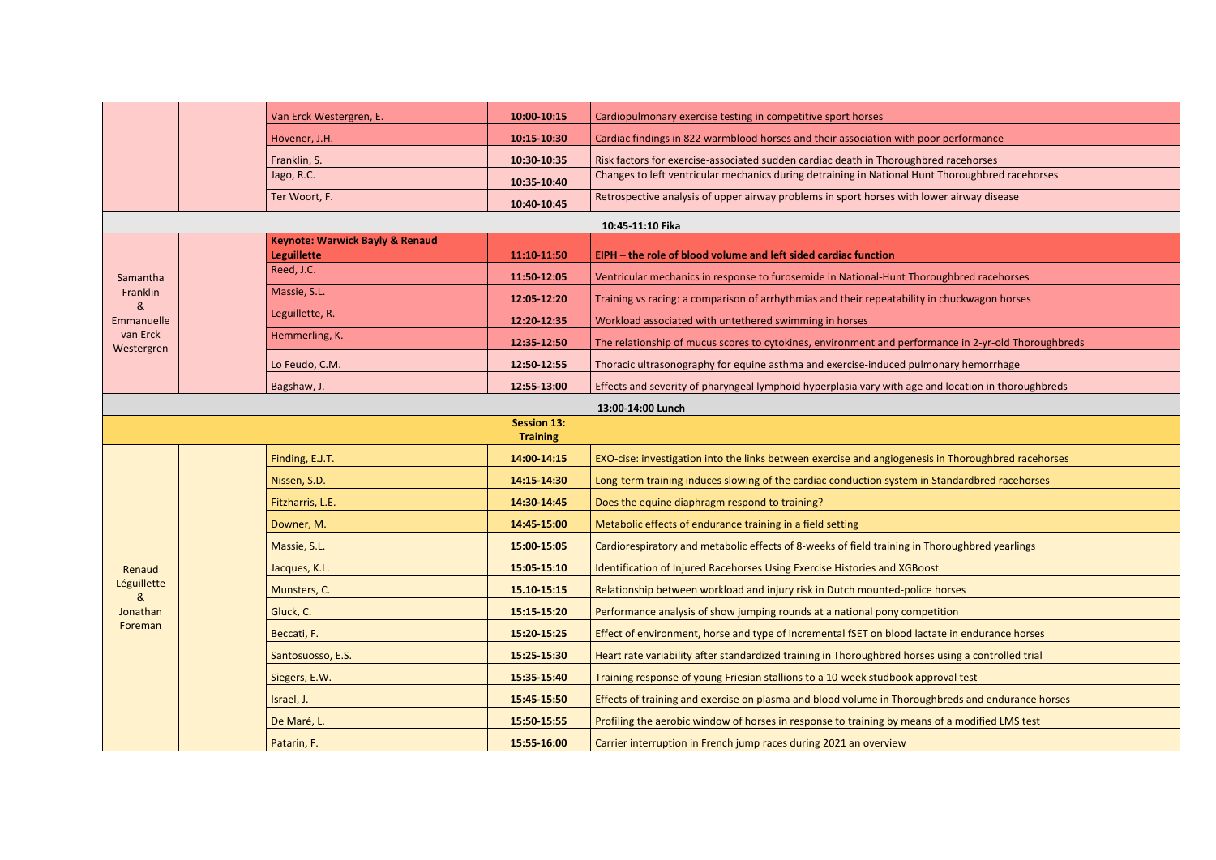|                        |                                       | Van Erck Westergren, E.                    | 10:00-10:15 | Cardiopulmonary exercise testing in competitive sport horses                                         |  |  |  |  |
|------------------------|---------------------------------------|--------------------------------------------|-------------|------------------------------------------------------------------------------------------------------|--|--|--|--|
|                        |                                       | Hövener, J.H.                              | 10:15 10:30 | Cardiac findings in 822 warmblood horses and their association with poor performance                 |  |  |  |  |
|                        |                                       | Franklin, S.                               | 10:30-10:35 | Risk factors for exercise-associated sudden cardiac death in Thoroughbred racehorses                 |  |  |  |  |
|                        |                                       | Jago, R.C.                                 | 10:35-10:40 | Changes to left ventricular mechanics during detraining in National Hunt Thoroughbred racehorses     |  |  |  |  |
|                        |                                       | Ter Woort, F.                              | 10:40-10:45 | Retrospective analysis of upper airway problems in sport horses with lower airway disease            |  |  |  |  |
|                        | 10:45-11:10 Fika                      |                                            |             |                                                                                                      |  |  |  |  |
|                        |                                       | <b>Keynote: Warwick Bayly &amp; Renaud</b> |             |                                                                                                      |  |  |  |  |
|                        |                                       | <b>Leguillette</b><br>Reed, J.C.           | 11:10-11:50 | EIPH – the role of blood volume and left sided cardiac function                                      |  |  |  |  |
| Samantha<br>Franklin   |                                       | Massie, S.L.                               | 11:50-12:05 | Ventricular mechanics in response to furosemide in National-Hunt Thoroughbred racehorses             |  |  |  |  |
| &                      |                                       | Leguillette, R.                            | 12:05-12:20 | Training vs racing: a comparison of arrhythmias and their repeatability in chuckwagon horses         |  |  |  |  |
| Emmanuelle<br>van Erck |                                       | Hemmerling, K.                             | 12:20-12:35 | Workload associated with untethered swimming in horses                                               |  |  |  |  |
| Westergren             |                                       |                                            | 12:35 12:50 | The relationship of mucus scores to cytokines, environment and performance in 2-yr-old Thoroughbreds |  |  |  |  |
|                        |                                       | Lo Feudo, C.M.                             | 12:50-12:55 | Thoracic ultrasonography for equine asthma and exercise-induced pulmonary hemorrhage                 |  |  |  |  |
|                        |                                       | Bagshaw, J.                                | 12:55-13:00 | Effects and severity of pharyngeal lymphoid hyperplasia vary with age and location in thoroughbreds  |  |  |  |  |
|                        | 13:00-14:00 Lunch                     |                                            |             |                                                                                                      |  |  |  |  |
|                        | <b>Session 13:</b><br><b>Training</b> |                                            |             |                                                                                                      |  |  |  |  |
|                        |                                       | Finding, E.J.T.                            | 14:00 14:15 | EXO-cise: investigation into the links between exercise and angiogenesis in Thoroughbred racehorses  |  |  |  |  |
|                        |                                       | Nissen, S.D.                               | 14:15 14:30 | Long-term training induces slowing of the cardiac conduction system in Standardbred racehorses       |  |  |  |  |
|                        |                                       | Fitzharris, L.E.                           | 14:30-14:45 | Does the equine diaphragm respond to training?                                                       |  |  |  |  |
|                        |                                       | Downer, M.                                 | 14:45 15:00 | Metabolic effects of endurance training in a field setting                                           |  |  |  |  |
|                        |                                       | Massie, S.L.                               | 15:00-15:05 | Cardiorespiratory and metabolic effects of 8-weeks of field training in Thoroughbred yearlings       |  |  |  |  |
| Renaud                 |                                       | Jacques, K.L.                              | 15:05 15:10 | <b>Identification of Injured Racehorses Using Exercise Histories and XGBoost</b>                     |  |  |  |  |
| Léguillette<br>&       |                                       | Munsters, C.                               | 15.10 15:15 | Relationship between workload and injury risk in Dutch mounted-police horses                         |  |  |  |  |
| Jonathan               |                                       | Gluck, C.                                  | 15:15 15:20 | Performance analysis of show jumping rounds at a national pony competition                           |  |  |  |  |
| Foreman                |                                       | Beccati, F.                                | 15:20-15:25 | Effect of environment, horse and type of incremental fSET on blood lactate in endurance horses       |  |  |  |  |
|                        |                                       | Santosuosso, E.S.                          | 15:25 15:30 | Heart rate variability after standardized training in Thoroughbred horses using a controlled trial   |  |  |  |  |
|                        |                                       | Siegers, E.W.                              | 15:35 15:40 | Training response of young Friesian stallions to a 10-week studbook approval test                    |  |  |  |  |
|                        |                                       | Israel, J.                                 | 15:45 15:50 | Effects of training and exercise on plasma and blood volume in Thoroughbreds and endurance horses    |  |  |  |  |
|                        |                                       | De Maré, L.                                | 15:50 15:55 | Profiling the aerobic window of horses in response to training by means of a modified LMS test       |  |  |  |  |
|                        |                                       | Patarin, F.                                | 15:55-16:00 | Carrier interruption in French jump races during 2021 an overview                                    |  |  |  |  |